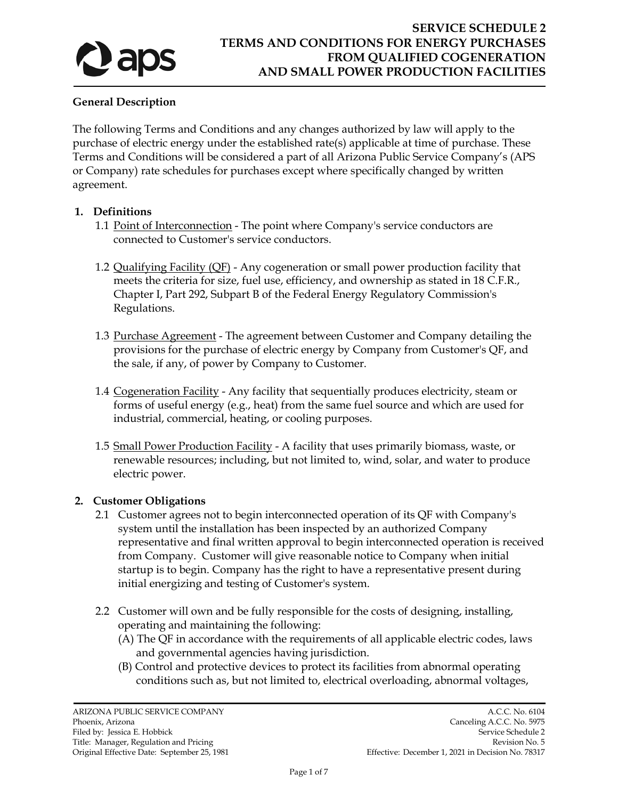

## **General Description**

The following Terms and Conditions and any changes authorized by law will apply to the purchase of electric energy under the established rate(s) applicable at time of purchase. These Terms and Conditions will be considered a part of all Arizona Public Service Company's (APS or Company) rate schedules for purchases except where specifically changed by written agreement.

### **1. Definitions**

- 1.1 Point of Interconnection The point where Company's service conductors are connected to Customer's service conductors.
- 1.2 Qualifying Facility (QF) Any cogeneration or small power production facility that meets the criteria for size, fuel use, efficiency, and ownership as stated in 18 C.F.R., Chapter I, Part 292, Subpart B of the Federal Energy Regulatory Commission's Regulations.
- 1.3 Purchase Agreement The agreement between Customer and Company detailing the provisions for the purchase of electric energy by Company from Customer's QF, and the sale, if any, of power by Company to Customer.
- 1.4 Cogeneration Facility Any facility that sequentially produces electricity, steam or forms of useful energy (e.g., heat) from the same fuel source and which are used for industrial, commercial, heating, or cooling purposes.
- 1.5 Small Power Production Facility A facility that uses primarily biomass, waste, or renewable resources; including, but not limited to, wind, solar, and water to produce electric power.

### **2. Customer Obligations**

- 2.1 Customer agrees not to begin interconnected operation of its QF with Company's system until the installation has been inspected by an authorized Company representative and final written approval to begin interconnected operation is received from Company. Customer will give reasonable notice to Company when initial startup is to begin. Company has the right to have a representative present during initial energizing and testing of Customer's system.
- 2.2 Customer will own and be fully responsible for the costs of designing, installing, operating and maintaining the following:
	- (A) The QF in accordance with the requirements of all applicable electric codes, laws and governmental agencies having jurisdiction.
	- (B) Control and protective devices to protect its facilities from abnormal operating conditions such as, but not limited to, electrical overloading, abnormal voltages,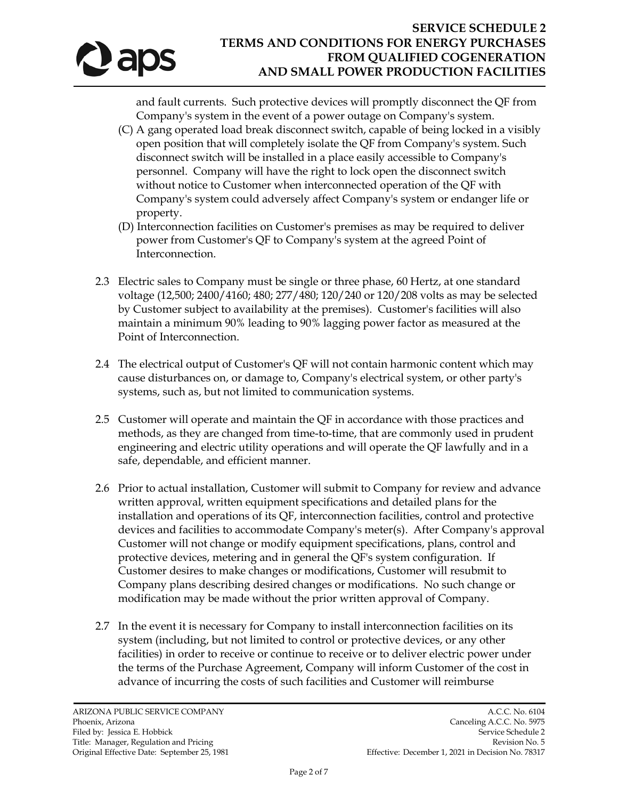

and fault currents. Such protective devices will promptly disconnect the QF from Company's system in the event of a power outage on Company's system.

- (C) A gang operated load break disconnect switch, capable of being locked in a visibly open position that will completely isolate the QF from Company's system. Such disconnect switch will be installed in a place easily accessible to Company's personnel. Company will have the right to lock open the disconnect switch without notice to Customer when interconnected operation of the QF with Company's system could adversely affect Company's system or endanger life or property.
- (D) Interconnection facilities on Customer's premises as may be required to deliver power from Customer's QF to Company's system at the agreed Point of Interconnection.
- 2.3 Electric sales to Company must be single or three phase, 60 Hertz, at one standard voltage (12,500; 2400/4160; 480; 277/480; 120/240 or 120/208 volts as may be selected by Customer subject to availability at the premises). Customer's facilities will also maintain a minimum 90% leading to 90% lagging power factor as measured at the Point of Interconnection.
- 2.4 The electrical output of Customer's QF will not contain harmonic content which may cause disturbances on, or damage to, Company's electrical system, or other party's systems, such as, but not limited to communication systems.
- 2.5 Customer will operate and maintain the QF in accordance with those practices and methods, as they are changed from time-to-time, that are commonly used in prudent engineering and electric utility operations and will operate the QF lawfully and in a safe, dependable, and efficient manner.
- 2.6 Prior to actual installation, Customer will submit to Company for review and advance written approval, written equipment specifications and detailed plans for the installation and operations of its QF, interconnection facilities, control and protective devices and facilities to accommodate Company's meter(s). After Company's approval Customer will not change or modify equipment specifications, plans, control and protective devices, metering and in general the QF's system configuration. If Customer desires to make changes or modifications, Customer will resubmit to Company plans describing desired changes or modifications. No such change or modification may be made without the prior written approval of Company.
- 2.7 In the event it is necessary for Company to install interconnection facilities on its system (including, but not limited to control or protective devices, or any other facilities) in order to receive or continue to receive or to deliver electric power under the terms of the Purchase Agreement, Company will inform Customer of the cost in advance of incurring the costs of such facilities and Customer will reimburse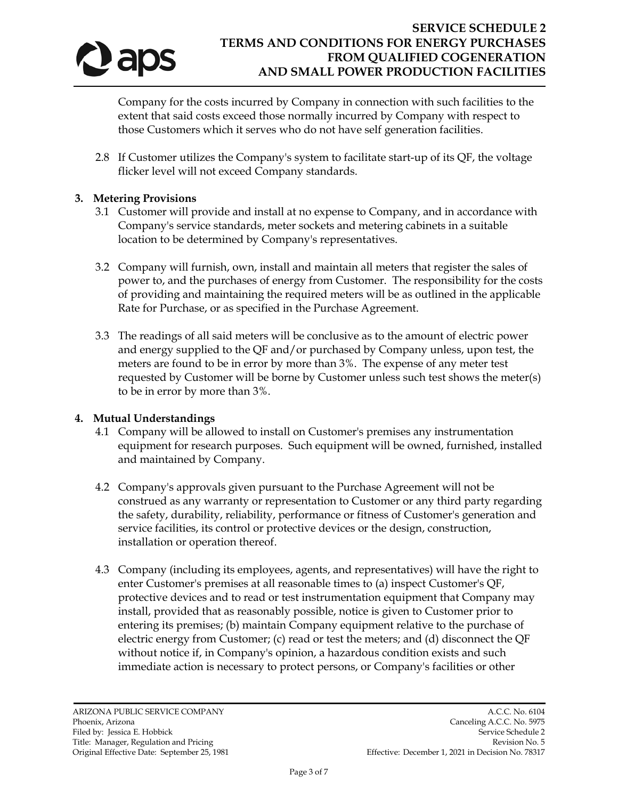

Company for the costs incurred by Company in connection with such facilities to the extent that said costs exceed those normally incurred by Company with respect to those Customers which it serves who do not have self generation facilities.

2.8 If Customer utilizes the Company's system to facilitate start-up of its QF, the voltage flicker level will not exceed Company standards.

### **3. Metering Provisions**

- 3.1 Customer will provide and install at no expense to Company, and in accordance with Company's service standards, meter sockets and metering cabinets in a suitable location to be determined by Company's representatives.
- 3.2 Company will furnish, own, install and maintain all meters that register the sales of power to, and the purchases of energy from Customer. The responsibility for the costs of providing and maintaining the required meters will be as outlined in the applicable Rate for Purchase, or as specified in the Purchase Agreement.
- 3.3 The readings of all said meters will be conclusive as to the amount of electric power and energy supplied to the QF and/or purchased by Company unless, upon test, the meters are found to be in error by more than 3%. The expense of any meter test requested by Customer will be borne by Customer unless such test shows the meter(s) to be in error by more than 3%.

### **4. Mutual Understandings**

- 4.1 Company will be allowed to install on Customer's premises any instrumentation equipment for research purposes. Such equipment will be owned, furnished, installed and maintained by Company.
- 4.2 Company's approvals given pursuant to the Purchase Agreement will not be construed as any warranty or representation to Customer or any third party regarding the safety, durability, reliability, performance or fitness of Customer's generation and service facilities, its control or protective devices or the design, construction, installation or operation thereof.
- 4.3 Company (including its employees, agents, and representatives) will have the right to enter Customer's premises at all reasonable times to (a) inspect Customer's QF, protective devices and to read or test instrumentation equipment that Company may install, provided that as reasonably possible, notice is given to Customer prior to entering its premises; (b) maintain Company equipment relative to the purchase of electric energy from Customer; (c) read or test the meters; and (d) disconnect the QF without notice if, in Company's opinion, a hazardous condition exists and such immediate action is necessary to protect persons, or Company's facilities or other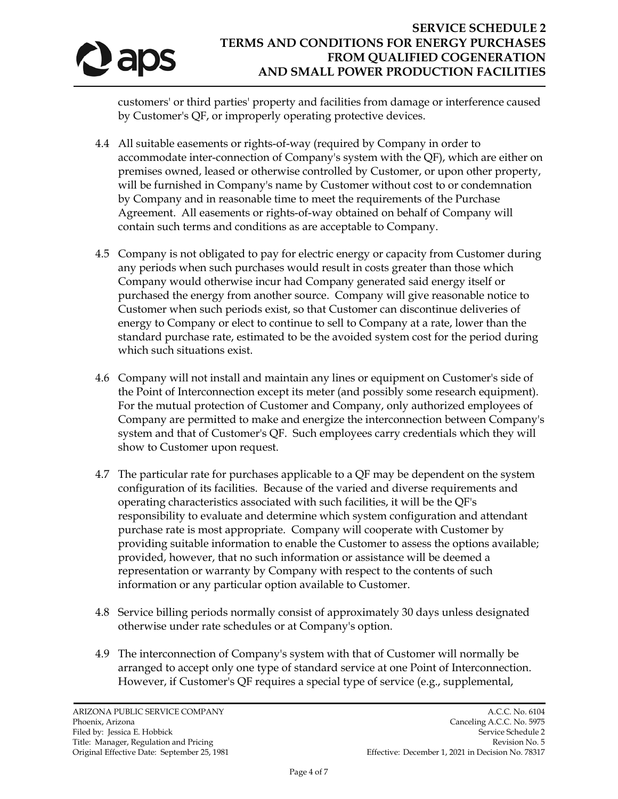

# **SERVICE SCHEDULE 2 TERMS AND CONDITIONS FOR ENERGY PURCHASES FROM QUALIFIED COGENERATION AND SMALL POWER PRODUCTION FACILITIES**

customers' or third parties' property and facilities from damage or interference caused by Customer's QF, or improperly operating protective devices.

- 4.4 All suitable easements or rights-of-way (required by Company in order to accommodate inter-connection of Company's system with the QF), which are either on premises owned, leased or otherwise controlled by Customer, or upon other property, will be furnished in Company's name by Customer without cost to or condemnation by Company and in reasonable time to meet the requirements of the Purchase Agreement. All easements or rights-of-way obtained on behalf of Company will contain such terms and conditions as are acceptable to Company.
- 4.5 Company is not obligated to pay for electric energy or capacity from Customer during any periods when such purchases would result in costs greater than those which Company would otherwise incur had Company generated said energy itself or purchased the energy from another source. Company will give reasonable notice to Customer when such periods exist, so that Customer can discontinue deliveries of energy to Company or elect to continue to sell to Company at a rate, lower than the standard purchase rate, estimated to be the avoided system cost for the period during which such situations exist.
- 4.6 Company will not install and maintain any lines or equipment on Customer's side of the Point of Interconnection except its meter (and possibly some research equipment). For the mutual protection of Customer and Company, only authorized employees of Company are permitted to make and energize the interconnection between Company's system and that of Customer's QF. Such employees carry credentials which they will show to Customer upon request.
- 4.7 The particular rate for purchases applicable to a QF may be dependent on the system configuration of its facilities. Because of the varied and diverse requirements and operating characteristics associated with such facilities, it will be the QF's responsibility to evaluate and determine which system configuration and attendant purchase rate is most appropriate. Company will cooperate with Customer by providing suitable information to enable the Customer to assess the options available; provided, however, that no such information or assistance will be deemed a representation or warranty by Company with respect to the contents of such information or any particular option available to Customer.
- 4.8 Service billing periods normally consist of approximately 30 days unless designated otherwise under rate schedules or at Company's option.
- 4.9 The interconnection of Company's system with that of Customer will normally be arranged to accept only one type of standard service at one Point of Interconnection. However, if Customer's QF requires a special type of service (e.g., supplemental,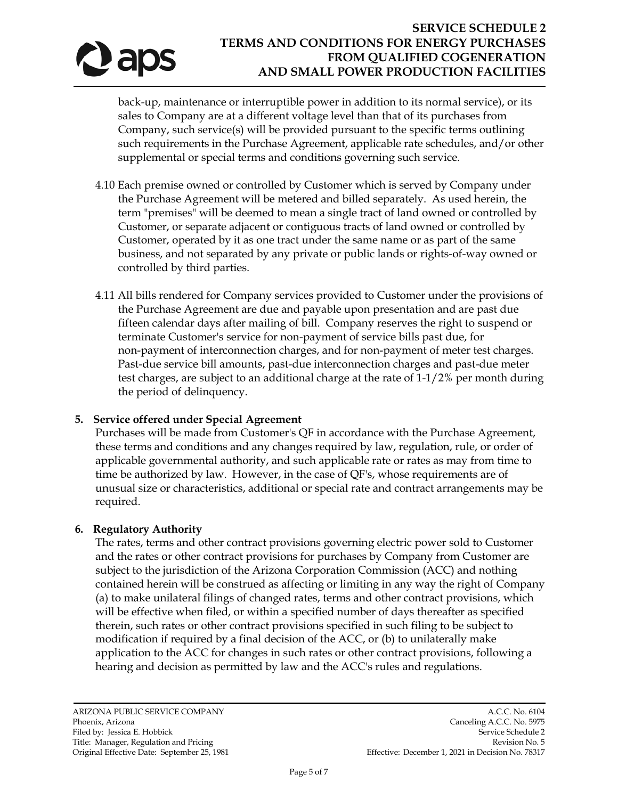

# **SERVICE SCHEDULE 2 TERMS AND CONDITIONS FOR ENERGY PURCHASES FROM QUALIFIED COGENERATION AND SMALL POWER PRODUCTION FACILITIES**

back-up, maintenance or interruptible power in addition to its normal service), or its sales to Company are at a different voltage level than that of its purchases from Company, such service(s) will be provided pursuant to the specific terms outlining such requirements in the Purchase Agreement, applicable rate schedules, and/or other supplemental or special terms and conditions governing such service.

- 4.10 Each premise owned or controlled by Customer which is served by Company under the Purchase Agreement will be metered and billed separately. As used herein, the term "premises" will be deemed to mean a single tract of land owned or controlled by Customer, or separate adjacent or contiguous tracts of land owned or controlled by Customer, operated by it as one tract under the same name or as part of the same business, and not separated by any private or public lands or rights-of-way owned or controlled by third parties.
- 4.11 All bills rendered for Company services provided to Customer under the provisions of the Purchase Agreement are due and payable upon presentation and are past due fifteen calendar days after mailing of bill. Company reserves the right to suspend or terminate Customer's service for non-payment of service bills past due, for non-payment of interconnection charges, and for non-payment of meter test charges. Past-due service bill amounts, past-due interconnection charges and past-due meter test charges, are subject to an additional charge at the rate of 1-1/2% per month during the period of delinquency.

## **5. Service offered under Special Agreement**

Purchases will be made from Customer's QF in accordance with the Purchase Agreement, these terms and conditions and any changes required by law, regulation, rule, or order of applicable governmental authority, and such applicable rate or rates as may from time to time be authorized by law. However, in the case of QF's, whose requirements are of unusual size or characteristics, additional or special rate and contract arrangements may be required.

### **6. Regulatory Authority**

The rates, terms and other contract provisions governing electric power sold to Customer and the rates or other contract provisions for purchases by Company from Customer are subject to the jurisdiction of the Arizona Corporation Commission (ACC) and nothing contained herein will be construed as affecting or limiting in any way the right of Company (a) to make unilateral filings of changed rates, terms and other contract provisions, which will be effective when filed, or within a specified number of days thereafter as specified therein, such rates or other contract provisions specified in such filing to be subject to modification if required by a final decision of the ACC, or (b) to unilaterally make application to the ACC for changes in such rates or other contract provisions, following a hearing and decision as permitted by law and the ACC's rules and regulations.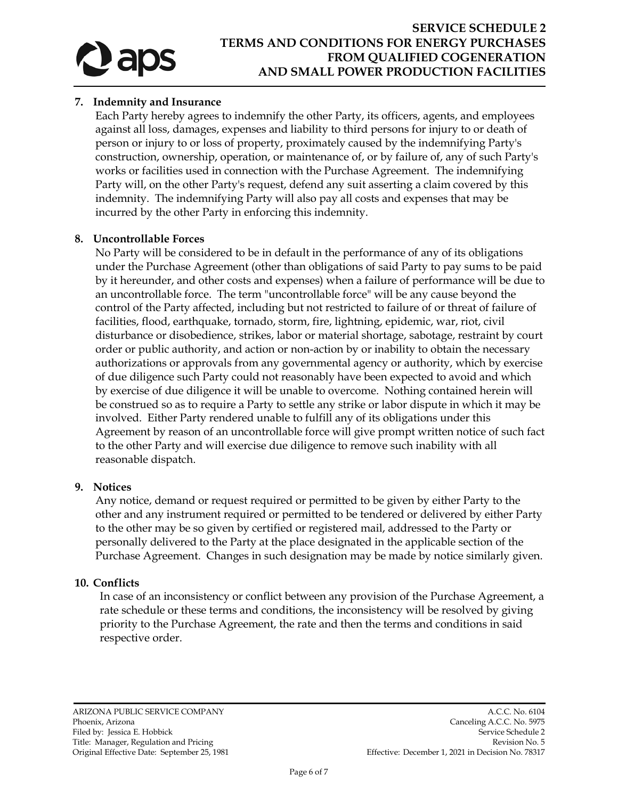

### **7. Indemnity and Insurance**

Each Party hereby agrees to indemnify the other Party, its officers, agents, and employees against all loss, damages, expenses and liability to third persons for injury to or death of person or injury to or loss of property, proximately caused by the indemnifying Party's construction, ownership, operation, or maintenance of, or by failure of, any of such Party's works or facilities used in connection with the Purchase Agreement. The indemnifying Party will, on the other Party's request, defend any suit asserting a claim covered by this indemnity. The indemnifying Party will also pay all costs and expenses that may be incurred by the other Party in enforcing this indemnity.

### **8. Uncontrollable Forces**

No Party will be considered to be in default in the performance of any of its obligations under the Purchase Agreement (other than obligations of said Party to pay sums to be paid by it hereunder, and other costs and expenses) when a failure of performance will be due to an uncontrollable force. The term "uncontrollable force" will be any cause beyond the control of the Party affected, including but not restricted to failure of or threat of failure of facilities, flood, earthquake, tornado, storm, fire, lightning, epidemic, war, riot, civil disturbance or disobedience, strikes, labor or material shortage, sabotage, restraint by court order or public authority, and action or non-action by or inability to obtain the necessary authorizations or approvals from any governmental agency or authority, which by exercise of due diligence such Party could not reasonably have been expected to avoid and which by exercise of due diligence it will be unable to overcome. Nothing contained herein will be construed so as to require a Party to settle any strike or labor dispute in which it may be involved. Either Party rendered unable to fulfill any of its obligations under this Agreement by reason of an uncontrollable force will give prompt written notice of such fact to the other Party and will exercise due diligence to remove such inability with all reasonable dispatch.

### **9. Notices**

Any notice, demand or request required or permitted to be given by either Party to the other and any instrument required or permitted to be tendered or delivered by either Party to the other may be so given by certified or registered mail, addressed to the Party or personally delivered to the Party at the place designated in the applicable section of the Purchase Agreement. Changes in such designation may be made by notice similarly given.

### **10. Conflicts**

 In case of an inconsistency or conflict between any provision of the Purchase Agreement, a rate schedule or these terms and conditions, the inconsistency will be resolved by giving priority to the Purchase Agreement, the rate and then the terms and conditions in said respective order.